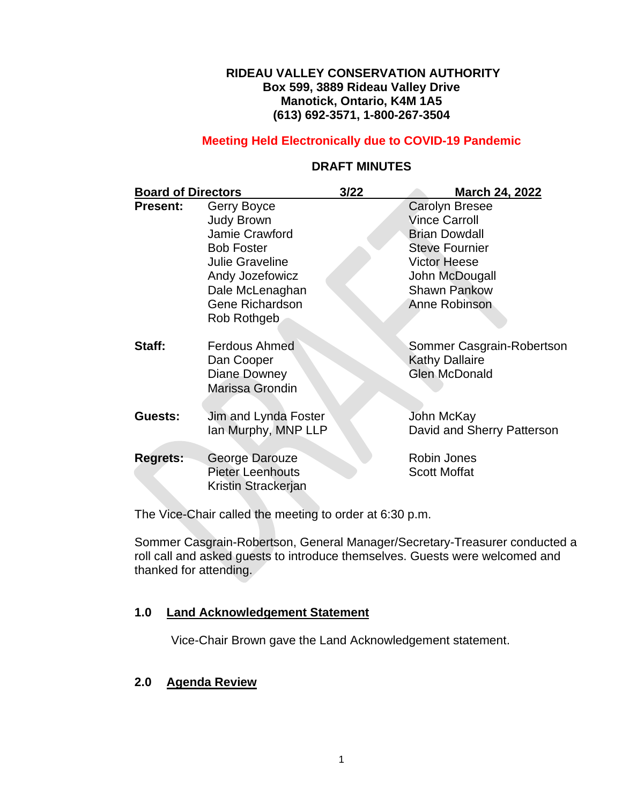## **RIDEAU VALLEY CONSERVATION AUTHORITY Box 599, 3889 Rideau Valley Drive Manotick, Ontario, K4M 1A5 (613) 692-3571, 1-800-267-3504**

## **Meeting Held Electronically due to COVID-19 Pandemic**

| <b>Board of Directors</b> |                                                                                                                                                                                  | 3/22 | March 24, 2022                                                                                                                                                                  |
|---------------------------|----------------------------------------------------------------------------------------------------------------------------------------------------------------------------------|------|---------------------------------------------------------------------------------------------------------------------------------------------------------------------------------|
| <b>Present:</b>           | Gerry Boyce<br><b>Judy Brown</b><br>Jamie Crawford<br><b>Bob Foster</b><br><b>Julie Graveline</b><br>Andy Jozefowicz<br>Dale McLenaghan<br><b>Gene Richardson</b><br>Rob Rothgeb |      | <b>Carolyn Bresee</b><br><b>Vince Carroll</b><br><b>Brian Dowdall</b><br><b>Steve Fournier</b><br><b>Victor Heese</b><br>John McDougall<br><b>Shawn Pankow</b><br>Anne Robinson |
| Staff:                    | <b>Ferdous Ahmed</b><br>Dan Cooper<br>Diane Downey<br>Marissa Grondin                                                                                                            |      | Sommer Casgrain-Robertson<br><b>Kathy Dallaire</b><br><b>Glen McDonald</b>                                                                                                      |
| Guests:                   | Jim and Lynda Foster<br>lan Murphy, MNP LLP                                                                                                                                      |      | John McKay<br>David and Sherry Patterson                                                                                                                                        |
| <b>Regrets:</b>           | George Darouze<br><b>Pieter Leenhouts</b><br>Kristin Strackerjan                                                                                                                 |      | Robin Jones<br><b>Scott Moffat</b>                                                                                                                                              |

# **DRAFT MINUTES**

The Vice-Chair called the meeting to order at 6:30 p.m.

Sommer Casgrain-Robertson, General Manager/Secretary-Treasurer conducted a roll call and asked guests to introduce themselves. Guests were welcomed and thanked for attending.

## **1.0 Land Acknowledgement Statement**

Vice-Chair Brown gave the Land Acknowledgement statement.

# **2.0 Agenda Review**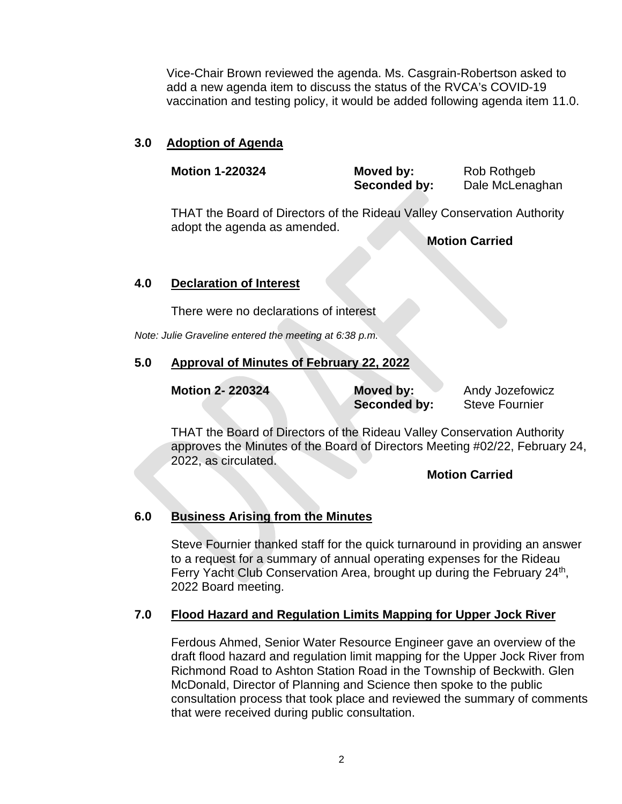Vice-Chair Brown reviewed the agenda. Ms. Casgrain-Robertson asked to add a new agenda item to discuss the status of the RVCA's COVID-19 vaccination and testing policy, it would be added following agenda item 11.0.

## **3.0 Adoption of Agenda**

| <b>Motion 1-220324</b> | Moved by:    | Rob Rothgeb     |
|------------------------|--------------|-----------------|
|                        | Seconded by: | Dale McLenaghan |
|                        |              |                 |

THAT the Board of Directors of the Rideau Valley Conservation Authority adopt the agenda as amended.

**Motion Carried**

## **4.0 Declaration of Interest**

There were no declarations of interest

*Note: Julie Graveline entered the meeting at 6:38 p.m.*

# **5.0 Approval of Minutes of February 22, 2022**

| <b>Motion 2-220324</b> | Moved by:    | Andy Jozefowicz       |
|------------------------|--------------|-----------------------|
|                        | Seconded by: | <b>Steve Fournier</b> |

THAT the Board of Directors of the Rideau Valley Conservation Authority approves the Minutes of the Board of Directors Meeting #02/22, February 24, 2022, as circulated.

## **Motion Carried**

# **6.0 Business Arising from the Minutes**

Steve Fournier thanked staff for the quick turnaround in providing an answer to a request for a summary of annual operating expenses for the Rideau Ferry Yacht Club Conservation Area, brought up during the February 24<sup>th</sup>, 2022 Board meeting.

# **7.0 Flood Hazard and Regulation Limits Mapping for Upper Jock River**

Ferdous Ahmed, Senior Water Resource Engineer gave an overview of the draft flood hazard and regulation limit mapping for the Upper Jock River from Richmond Road to Ashton Station Road in the Township of Beckwith. Glen McDonald, Director of Planning and Science then spoke to the public consultation process that took place and reviewed the summary of comments that were received during public consultation.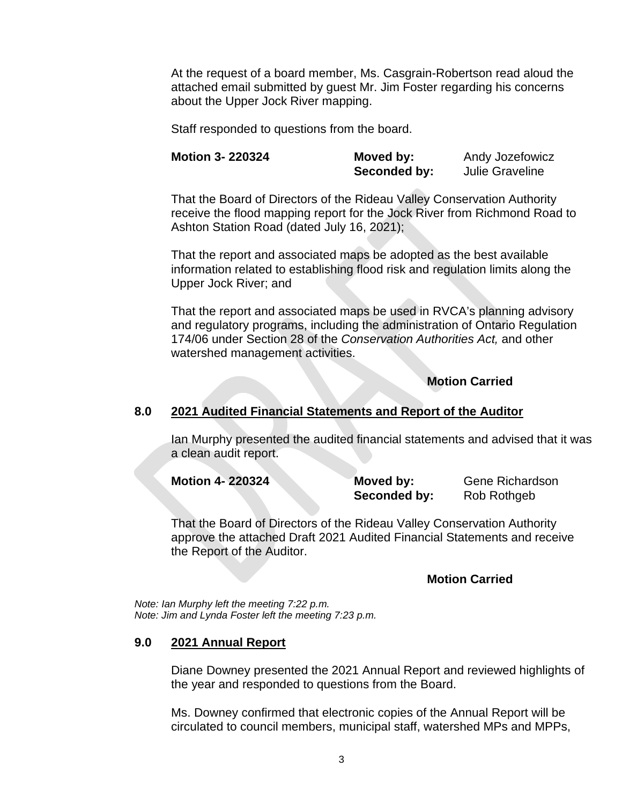At the request of a board member, Ms. Casgrain-Robertson read aloud the attached email submitted by guest Mr. Jim Foster regarding his concerns about the Upper Jock River mapping.

Staff responded to questions from the board.

| <b>Motion 3- 220324</b> | Moved by:    | Andy Jozefowicz        |
|-------------------------|--------------|------------------------|
|                         | Seconded by: | <b>Julie Graveline</b> |

That the Board of Directors of the Rideau Valley Conservation Authority receive the flood mapping report for the Jock River from Richmond Road to Ashton Station Road (dated July 16, 2021);

That the report and associated maps be adopted as the best available information related to establishing flood risk and regulation limits along the Upper Jock River; and

That the report and associated maps be used in RVCA's planning advisory and regulatory programs, including the administration of Ontario Regulation 174/06 under Section 28 of the *Conservation Authorities Act,* and other watershed management activities.

# **Motion Carried**

## **8.0 2021 Audited Financial Statements and Report of the Auditor**

Ian Murphy presented the audited financial statements and advised that it was a clean audit report.

| <b>Motion 4-220324</b> | Moved by:    | <b>Gene Richardson</b> |
|------------------------|--------------|------------------------|
|                        | Seconded by: | Rob Rothgeb            |

That the Board of Directors of the Rideau Valley Conservation Authority approve the attached Draft 2021 Audited Financial Statements and receive the Report of the Auditor.

## **Motion Carried**

*Note: Ian Murphy left the meeting 7:22 p.m. Note: Jim and Lynda Foster left the meeting 7:23 p.m.*

## **9.0 2021 Annual Report**

Diane Downey presented the 2021 Annual Report and reviewed highlights of the year and responded to questions from the Board.

Ms. Downey confirmed that electronic copies of the Annual Report will be circulated to council members, municipal staff, watershed MPs and MPPs,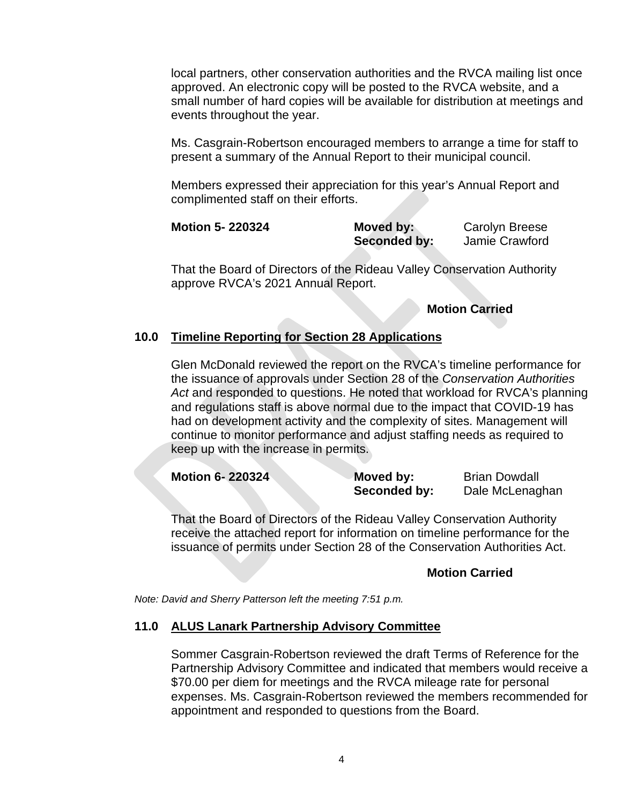local partners, other conservation authorities and the RVCA mailing list once approved. An electronic copy will be posted to the RVCA website, and a small number of hard copies will be available for distribution at meetings and events throughout the year.

Ms. Casgrain-Robertson encouraged members to arrange a time for staff to present a summary of the Annual Report to their municipal council.

Members expressed their appreciation for this year's Annual Report and complimented staff on their efforts.

| <b>Motion 5-220324</b> | Moved by:           | <b>Carolyn Breese</b> |
|------------------------|---------------------|-----------------------|
|                        | <b>Seconded by:</b> | Jamie Crawford        |

That the Board of Directors of the Rideau Valley Conservation Authority approve RVCA's 2021 Annual Report.

**Motion Carried**

# **10.0 Timeline Reporting for Section 28 Applications**

Glen McDonald reviewed the report on the RVCA's timeline performance for the issuance of approvals under Section 28 of the *Conservation Authorities Act* and responded to questions. He noted that workload for RVCA's planning and regulations staff is above normal due to the impact that COVID-19 has had on development activity and the complexity of sites. Management will continue to monitor performance and adjust staffing needs as required to keep up with the increase in permits.

| <b>Motion 6-220324</b> | Moved by:    | <b>Brian Dowdall</b> |
|------------------------|--------------|----------------------|
|                        | Seconded by: | Dale McLenaghan      |

That the Board of Directors of the Rideau Valley Conservation Authority receive the attached report for information on timeline performance for the issuance of permits under Section 28 of the Conservation Authorities Act.

## **Motion Carried**

*Note: David and Sherry Patterson left the meeting 7:51 p.m.*

## **11.0 ALUS Lanark Partnership Advisory Committee**

Sommer Casgrain-Robertson reviewed the draft Terms of Reference for the Partnership Advisory Committee and indicated that members would receive a \$70.00 per diem for meetings and the RVCA mileage rate for personal expenses. Ms. Casgrain-Robertson reviewed the members recommended for appointment and responded to questions from the Board.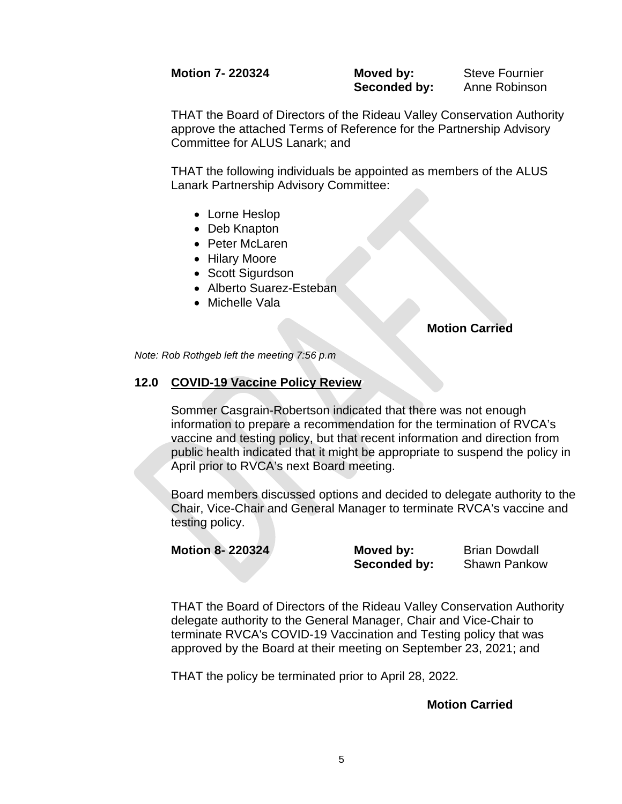## **Motion 7- 220324 Moved by:** Steve Fournier

**Seconded by:** Anne Robinson

THAT the Board of Directors of the Rideau Valley Conservation Authority approve the attached Terms of Reference for the Partnership Advisory Committee for ALUS Lanark; and

THAT the following individuals be appointed as members of the ALUS Lanark Partnership Advisory Committee:

- Lorne Heslop
- Deb Knapton
- Peter McLaren
- Hilary Moore
- Scott Sigurdson
- Alberto Suarez-Esteban
- Michelle Vala

#### **Motion Carried**

*Note: Rob Rothgeb left the meeting 7:56 p.m*

## **12.0 COVID-19 Vaccine Policy Review**

Sommer Casgrain-Robertson indicated that there was not enough information to prepare a recommendation for the termination of RVCA's vaccine and testing policy, but that recent information and direction from public health indicated that it might be appropriate to suspend the policy in April prior to RVCA's next Board meeting.

Board members discussed options and decided to delegate authority to the Chair, Vice-Chair and General Manager to terminate RVCA's vaccine and testing policy.

| Motion 8-220324 | Moved by:    | <b>Brian Dowdall</b> |
|-----------------|--------------|----------------------|
|                 | Seconded by: | <b>Shawn Pankow</b>  |

THAT the Board of Directors of the Rideau Valley Conservation Authority delegate authority to the General Manager, Chair and Vice-Chair to terminate RVCA's COVID-19 Vaccination and Testing policy that was approved by the Board at their meeting on September 23, 2021; and

THAT the policy be terminated prior to April 28, 2022*.*

#### **Motion Carried**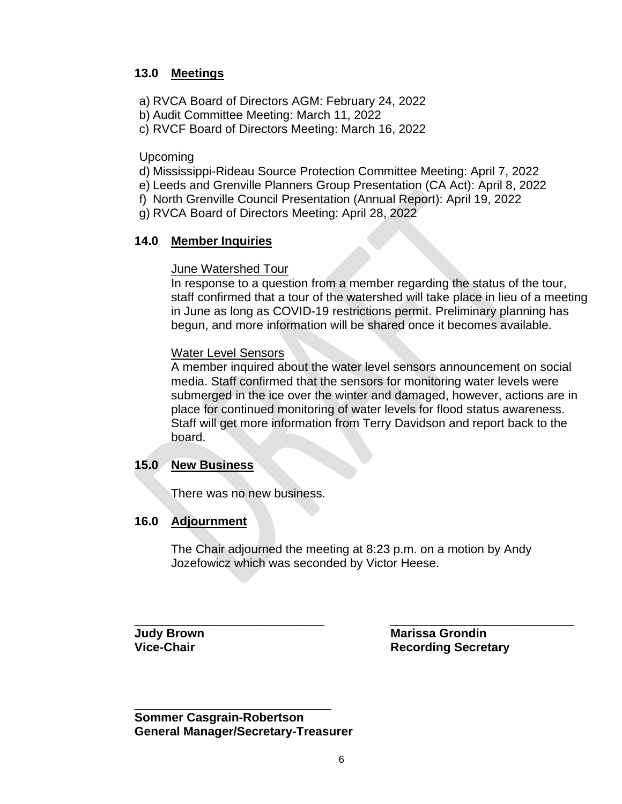# **13.0 Meetings**

a) RVCA Board of Directors AGM: February 24, 2022

b) Audit Committee Meeting: March 11, 2022

c) RVCF Board of Directors Meeting: March 16, 2022

Upcoming

d) Mississippi-Rideau Source Protection Committee Meeting: April 7, 2022

e) Leeds and Grenville Planners Group Presentation (CA Act): April 8, 2022

f) North Grenville Council Presentation (Annual Report): April 19, 2022

g) RVCA Board of Directors Meeting: April 28, 2022

# **14.0 Member Inquiries**

# June Watershed Tour

In response to a question from a member regarding the status of the tour, staff confirmed that a tour of the watershed will take place in lieu of a meeting in June as long as COVID-19 restrictions permit. Preliminary planning has begun, and more information will be shared once it becomes available.

# Water Level Sensors

A member inquired about the water level sensors announcement on social media. Staff confirmed that the sensors for monitoring water levels were submerged in the ice over the winter and damaged, however, actions are in place for continued monitoring of water levels for flood status awareness. Staff will get more information from Terry Davidson and report back to the board.

# **15.0 New Business**

There was no new business.

# **16.0 Adjournment**

The Chair adjourned the meeting at 8:23 p.m. on a motion by Andy Jozefowicz which was seconded by Victor Heese.

\_\_\_\_\_\_\_\_\_\_\_\_\_\_\_\_\_\_\_\_\_\_\_\_\_\_\_\_ \_\_\_\_\_\_\_\_\_\_\_\_\_\_\_\_\_\_\_\_\_\_\_\_\_\_\_ **Judy Brown Marissa Grondin Vice-Chair Recording Secretary** 

\_\_\_\_\_\_\_\_\_\_\_\_\_\_\_\_\_\_\_\_\_\_\_\_\_\_\_\_\_ **Sommer Casgrain-Robertson General Manager/Secretary-Treasurer**